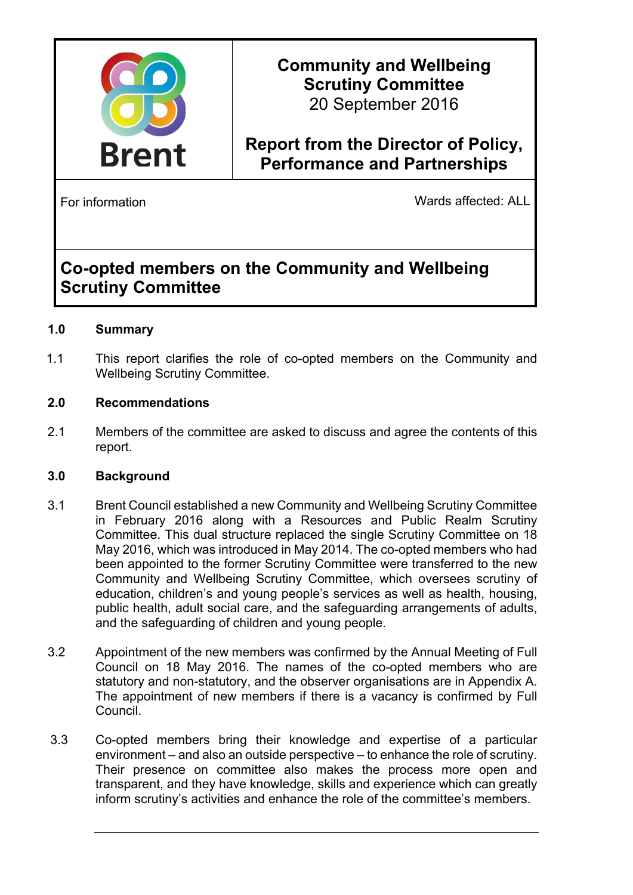

**Community and Wellbeing Scrutiny Committee** 20 September 2016

# **Report from the Director of Policy, Performance and Partnerships**

For information **Example 2018** Wards affected: ALL

# **Co-opted members on the Community and Wellbeing Scrutiny Committee**

# **1.0 Summary**

1.1 This report clarifies the role of co-opted members on the Community and Wellbeing Scrutiny Committee.

#### **2.0 Recommendations**

2.1 Members of the committee are asked to discuss and agree the contents of this report.

#### **3.0 Background**

- 3.1 Brent Council established a new Community and Wellbeing Scrutiny Committee in February 2016 along with a Resources and Public Realm Scrutiny Committee. This dual structure replaced the single Scrutiny Committee on 18 May 2016, which was introduced in May 2014. The co-opted members who had been appointed to the former Scrutiny Committee were transferred to the new Community and Wellbeing Scrutiny Committee, which oversees scrutiny of education, children's and young people's services as well as health, housing, public health, adult social care, and the safeguarding arrangements of adults, and the safeguarding of children and young people.
- 3.2 Appointment of the new members was confirmed by the Annual Meeting of Full Council on 18 May 2016. The names of the co-opted members who are statutory and non-statutory, and the observer organisations are in Appendix A. The appointment of new members if there is a vacancy is confirmed by Full Council.
- 3.3 Co-opted members bring their knowledge and expertise of a particular environment – and also an outside perspective – to enhance the role of scrutiny. Their presence on committee also makes the process more open and transparent, and they have knowledge, skills and experience which can greatly inform scrutiny's activities and enhance the role of the committee's members.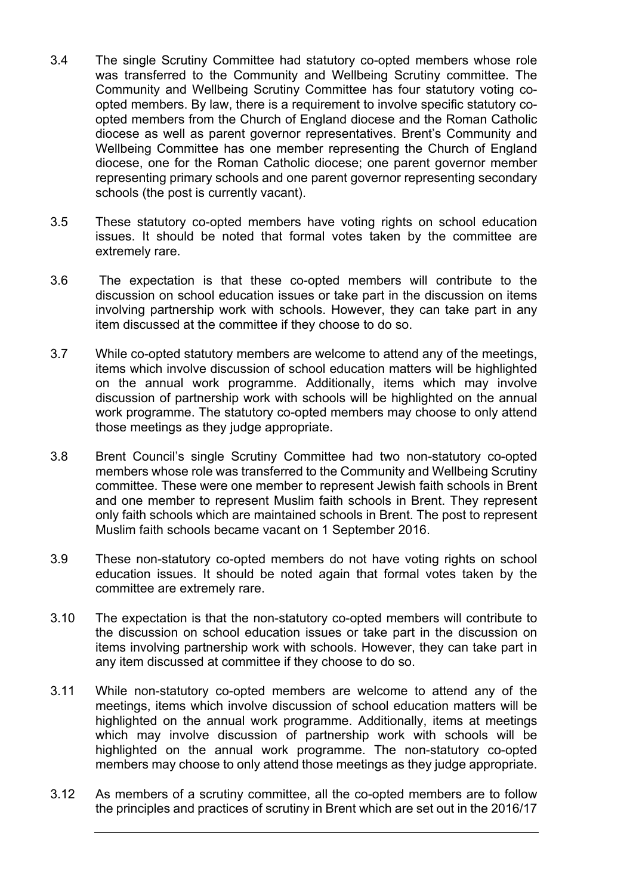- 3.4 The single Scrutiny Committee had statutory co-opted members whose role was transferred to the Community and Wellbeing Scrutiny committee. The Community and Wellbeing Scrutiny Committee has four statutory voting coopted members. By law, there is a requirement to involve specific statutory coopted members from the Church of England diocese and the Roman Catholic diocese as well as parent governor representatives. Brent's Community and Wellbeing Committee has one member representing the Church of England diocese, one for the Roman Catholic diocese; one parent governor member representing primary schools and one parent governor representing secondary schools (the post is currently vacant).
- 3.5 These statutory co-opted members have voting rights on school education issues. It should be noted that formal votes taken by the committee are extremely rare.
- 3.6 The expectation is that these co-opted members will contribute to the discussion on school education issues or take part in the discussion on items involving partnership work with schools. However, they can take part in any item discussed at the committee if they choose to do so.
- 3.7 While co-opted statutory members are welcome to attend any of the meetings, items which involve discussion of school education matters will be highlighted on the annual work programme. Additionally, items which may involve discussion of partnership work with schools will be highlighted on the annual work programme. The statutory co-opted members may choose to only attend those meetings as they judge appropriate.
- 3.8 Brent Council's single Scrutiny Committee had two non-statutory co-opted members whose role was transferred to the Community and Wellbeing Scrutiny committee. These were one member to represent Jewish faith schools in Brent and one member to represent Muslim faith schools in Brent. They represent only faith schools which are maintained schools in Brent. The post to represent Muslim faith schools became vacant on 1 September 2016.
- 3.9 These non-statutory co-opted members do not have voting rights on school education issues. It should be noted again that formal votes taken by the committee are extremely rare.
- 3.10 The expectation is that the non-statutory co-opted members will contribute to the discussion on school education issues or take part in the discussion on items involving partnership work with schools. However, they can take part in any item discussed at committee if they choose to do so.
- 3.11 While non-statutory co-opted members are welcome to attend any of the meetings, items which involve discussion of school education matters will be highlighted on the annual work programme. Additionally, items at meetings which may involve discussion of partnership work with schools will be highlighted on the annual work programme. The non-statutory co-opted members may choose to only attend those meetings as they judge appropriate.
- 3.12 As members of a scrutiny committee, all the co-opted members are to follow the principles and practices of scrutiny in Brent which are set out in the 2016/17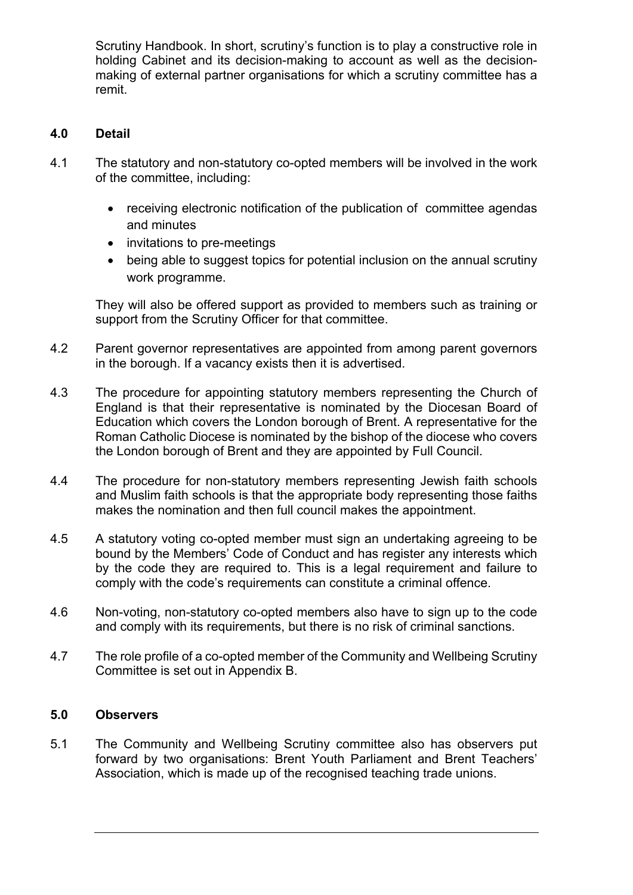Scrutiny Handbook. In short, scrutiny's function is to play a constructive role in holding Cabinet and its decision-making to account as well as the decisionmaking of external partner organisations for which a scrutiny committee has a remit.

# **4.0 Detail**

- 4.1 The statutory and non-statutory co-opted members will be involved in the work of the committee, including:
	- receiving electronic notification of the publication of committee agendas and minutes
	- invitations to pre-meetings
	- being able to suggest topics for potential inclusion on the annual scrutiny work programme.

They will also be offered support as provided to members such as training or support from the Scrutiny Officer for that committee.

- 4.2 Parent governor representatives are appointed from among parent governors in the borough. If a vacancy exists then it is advertised.
- 4.3 The procedure for appointing statutory members representing the Church of England is that their representative is nominated by the Diocesan Board of Education which covers the London borough of Brent. A representative for the Roman Catholic Diocese is nominated by the bishop of the diocese who covers the London borough of Brent and they are appointed by Full Council.
- 4.4 The procedure for non-statutory members representing Jewish faith schools and Muslim faith schools is that the appropriate body representing those faiths makes the nomination and then full council makes the appointment.
- 4.5 A statutory voting co-opted member must sign an undertaking agreeing to be bound by the Members' Code of Conduct and has register any interests which by the code they are required to. This is a legal requirement and failure to comply with the code's requirements can constitute a criminal offence.
- 4.6 Non-voting, non-statutory co-opted members also have to sign up to the code and comply with its requirements, but there is no risk of criminal sanctions.
- 4.7 The role profile of a co-opted member of the Community and Wellbeing Scrutiny Committee is set out in Appendix B.

## **5.0 Observers**

5.1 The Community and Wellbeing Scrutiny committee also has observers put forward by two organisations: Brent Youth Parliament and Brent Teachers' Association, which is made up of the recognised teaching trade unions.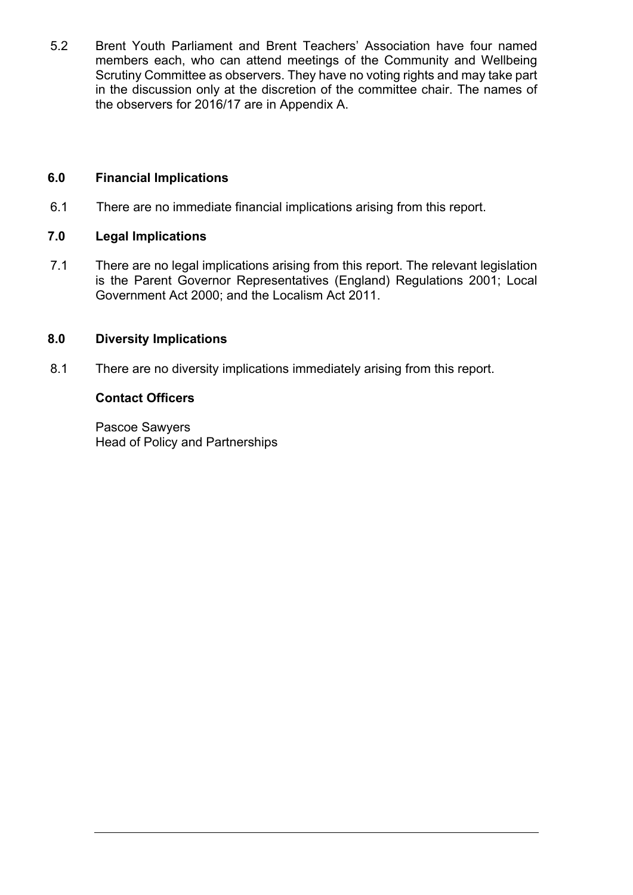5.2 Brent Youth Parliament and Brent Teachers' Association have four named members each, who can attend meetings of the Community and Wellbeing Scrutiny Committee as observers. They have no voting rights and may take part in the discussion only at the discretion of the committee chair. The names of the observers for 2016/17 are in Appendix A.

## **6.0 Financial Implications**

6.1 There are no immediate financial implications arising from this report.

## **7.0 Legal Implications**

7.1 There are no legal implications arising from this report. The relevant legislation is the Parent Governor Representatives (England) Regulations 2001; Local Government Act 2000; and the Localism Act 2011.

## **8.0 Diversity Implications**

8.1 There are no diversity implications immediately arising from this report.

## **Contact Officers**

Pascoe Sawyers Head of Policy and Partnerships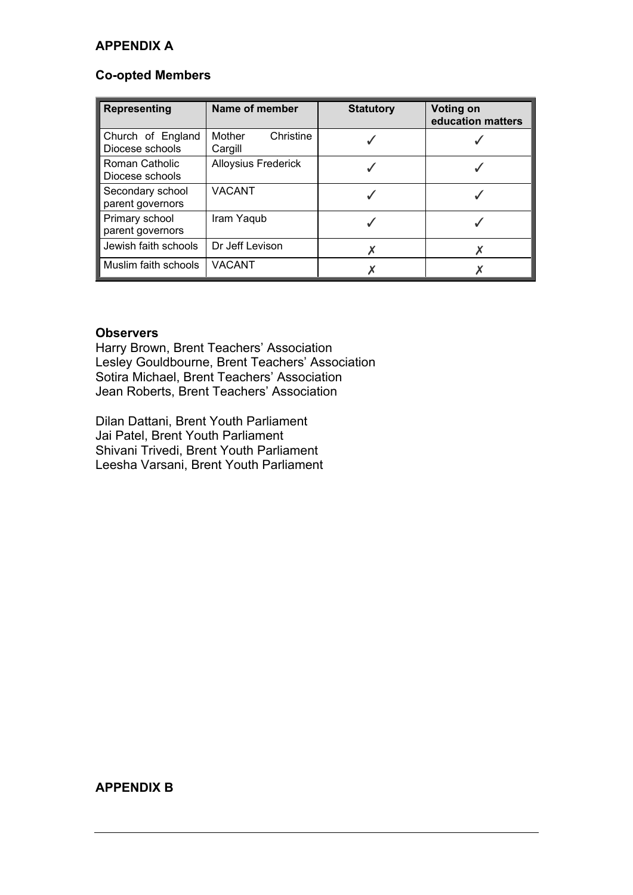## **APPENDIX A**

#### **Co-opted Members**

| <b>Representing</b>                  | Name of member                 | <b>Statutory</b> | <b>Voting on</b><br>education matters |
|--------------------------------------|--------------------------------|------------------|---------------------------------------|
| Church of England<br>Diocese schools | Mother<br>Christine<br>Cargill |                  |                                       |
| Roman Catholic<br>Diocese schools    | <b>Alloysius Frederick</b>     |                  |                                       |
| Secondary school<br>parent governors | <b>VACANT</b>                  |                  |                                       |
| Primary school<br>parent governors   | Iram Yaqub                     |                  |                                       |
| Jewish faith schools                 | Dr Jeff Levison                |                  |                                       |
| Muslim faith schools                 | <b>VACANT</b>                  |                  |                                       |

#### **Observers**

Harry Brown, Brent Teachers' Association Lesley Gouldbourne, Brent Teachers' Association Sotira Michael, Brent Teachers' Association Jean Roberts, Brent Teachers' Association

Dilan Dattani, Brent Youth Parliament Jai Patel, Brent Youth Parliament Shivani Trivedi, Brent Youth Parliament Leesha Varsani, Brent Youth Parliament

## **APPENDIX B**